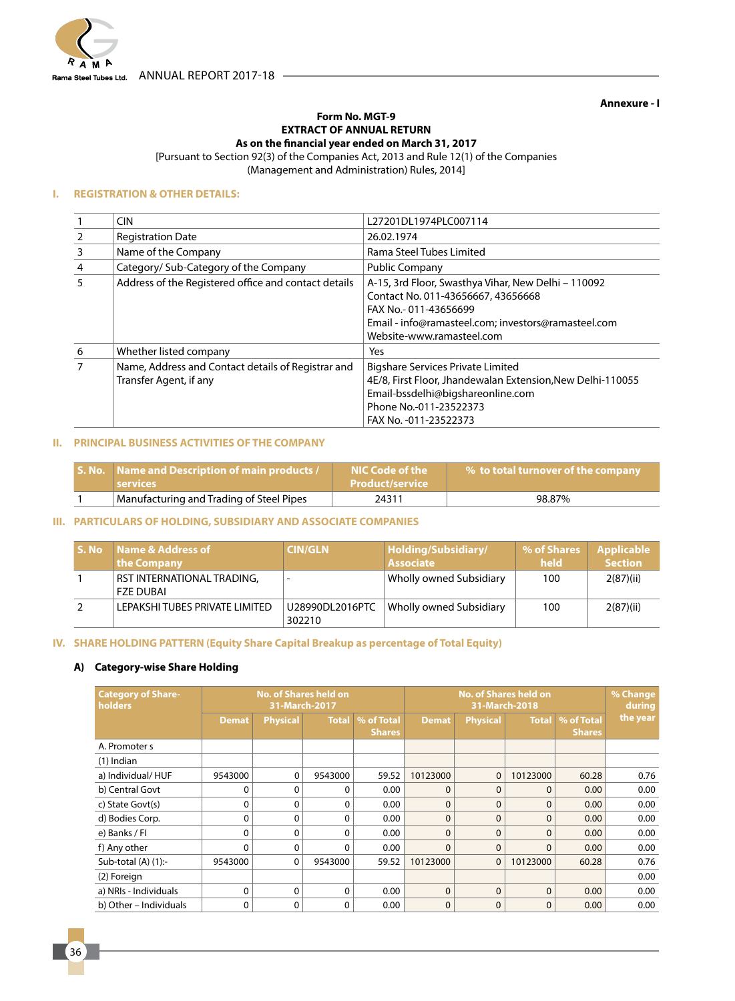

**Annexure - I**

#### **Form No. MGT-9 EXTRACT OF ANNUAL RETURN As on the financial year ended on March 31, 2017**

[Pursuant to Section 92(3) of the Companies Act, 2013 and Rule 12(1) of the Companies

(Management and Administration) Rules, 2014]

#### **I. REGISTRATION & OTHER DETAILS:**

|                | CIN                                                                          | L27201DL1974PLC007114                                                                                                                                                                                 |
|----------------|------------------------------------------------------------------------------|-------------------------------------------------------------------------------------------------------------------------------------------------------------------------------------------------------|
| $\overline{2}$ | <b>Registration Date</b>                                                     | 26.02.1974                                                                                                                                                                                            |
| 3              | Name of the Company                                                          | Rama Steel Tubes Limited                                                                                                                                                                              |
| $\overline{4}$ | Category/ Sub-Category of the Company                                        | <b>Public Company</b>                                                                                                                                                                                 |
| 5              | Address of the Registered office and contact details                         | A-15, 3rd Floor, Swasthya Vihar, New Delhi - 110092<br>Contact No. 011-43656667, 43656668<br>FAX No.-011-43656699<br>Email - info@ramasteel.com; investors@ramasteel.com<br>Website-www.ramasteel.com |
| 6              | Whether listed company                                                       | Yes                                                                                                                                                                                                   |
| $\overline{7}$ | Name, Address and Contact details of Registrar and<br>Transfer Agent, if any | <b>Bigshare Services Private Limited</b><br>4E/8, First Floor, Jhandewalan Extension, New Delhi-110055<br>Email-bssdelhi@bigshareonline.com<br>Phone No.-011-23522373<br>FAX No. - 011 - 23522373     |

#### **II. PRINCIPAL BUSINESS ACTIVITIES OF THE COMPANY**

| <b>S. No.</b> Name and Description of main products /<br><b>Services</b> | NIC Code of the<br><b>Product/service</b> | $\mathbb{F}$ % to total turnover of the company $\mathbb{F}$ |
|--------------------------------------------------------------------------|-------------------------------------------|--------------------------------------------------------------|
| Manufacturing and Trading of Steel Pipes                                 | 24311                                     | 98.87%                                                       |

### **III. PARTICULARS OF HOLDING, SUBSIDIARY AND ASSOCIATE COMPANIES**

| S. No | Name & Address of<br>the Company        | <b>CIN/GLN</b>            | Holding/Subsidiary/<br><b>Associate</b> | % of Shares<br>held | <b>Applicable</b><br><b>Section</b> |
|-------|-----------------------------------------|---------------------------|-----------------------------------------|---------------------|-------------------------------------|
|       | RST INTERNATIONAL TRADING,<br>FZE DUBAI |                           | Wholly owned Subsidiary                 | 100                 | 2(87)(ii)                           |
|       | LEPAKSHI TUBES PRIVATE LIMITED          | U28990DL2016PTC<br>302210 | Wholly owned Subsidiary                 | 100                 | 2(87)(ii)                           |

### **IV. SHARE HOLDING PATTERN (Equity Share Capital Breakup as percentage of Total Equity)**

# **A) Category-wise Share Holding**

| <b>Category of Share-</b><br>holders | <b>No. of Shares held on</b><br><b>No. of Shares held on</b><br>31-March-2017<br>31-March-2018 |                 |              |                             |              | % Change<br>during |              |                             |          |
|--------------------------------------|------------------------------------------------------------------------------------------------|-----------------|--------------|-----------------------------|--------------|--------------------|--------------|-----------------------------|----------|
|                                      | Demat                                                                                          | <b>Physical</b> | <b>Total</b> | % of Total<br><b>Shares</b> | <b>Demat</b> | Physical           | <b>Total</b> | % of Total<br><b>Shares</b> | the year |
| A. Promoter s                        |                                                                                                |                 |              |                             |              |                    |              |                             |          |
| $(1)$ Indian                         |                                                                                                |                 |              |                             |              |                    |              |                             |          |
| a) Individual/HUF                    | 9543000                                                                                        | 0               | 9543000      | 59.52                       | 10123000     | $\mathbf 0$        | 10123000     | 60.28                       | 0.76     |
| b) Central Govt                      | 0                                                                                              | 0               | 0            | 0.00                        | $\Omega$     | $\Omega$           | $\mathbf{0}$ | 0.00                        | 0.00     |
| c) State Govt(s)                     | 0                                                                                              | 0               | 0            | 0.00                        | $\Omega$     | $\mathbf{0}$       | $\mathbf{0}$ | 0.00                        | 0.00     |
| d) Bodies Corp.                      | 0                                                                                              | 0               | 0            | 0.00                        | $\Omega$     | $\Omega$           | $\mathbf{0}$ | 0.00                        | 0.00     |
| e) Banks / FI                        | 0                                                                                              | 0               | $\Omega$     | 0.00                        | $\Omega$     | $\Omega$           | $\mathbf 0$  | 0.00                        | 0.00     |
| f) Any other                         | 0                                                                                              | 0               | 0            | 0.00                        | $\Omega$     | $\mathbf{0}$       | 0            | 0.00                        | 0.00     |
| Sub-total $(A)$ $(1)$ :-             | 9543000                                                                                        | 0               | 9543000      | 59.52                       | 10123000     | $\mathbf 0$        | 10123000     | 60.28                       | 0.76     |
| (2) Foreign                          |                                                                                                |                 |              |                             |              |                    |              |                             | 0.00     |
| a) NRIs - Individuals                | $\mathbf 0$                                                                                    | $\Omega$        | 0            | 0.00                        | $\Omega$     | $\Omega$           | $\mathbf{0}$ | 0.00                        | 0.00     |
| b) Other - Individuals               | 0                                                                                              | 0               | 0            | 0.00                        | $\Omega$     | $\mathbf{0}$       | 0            | 0.00                        | 0.00     |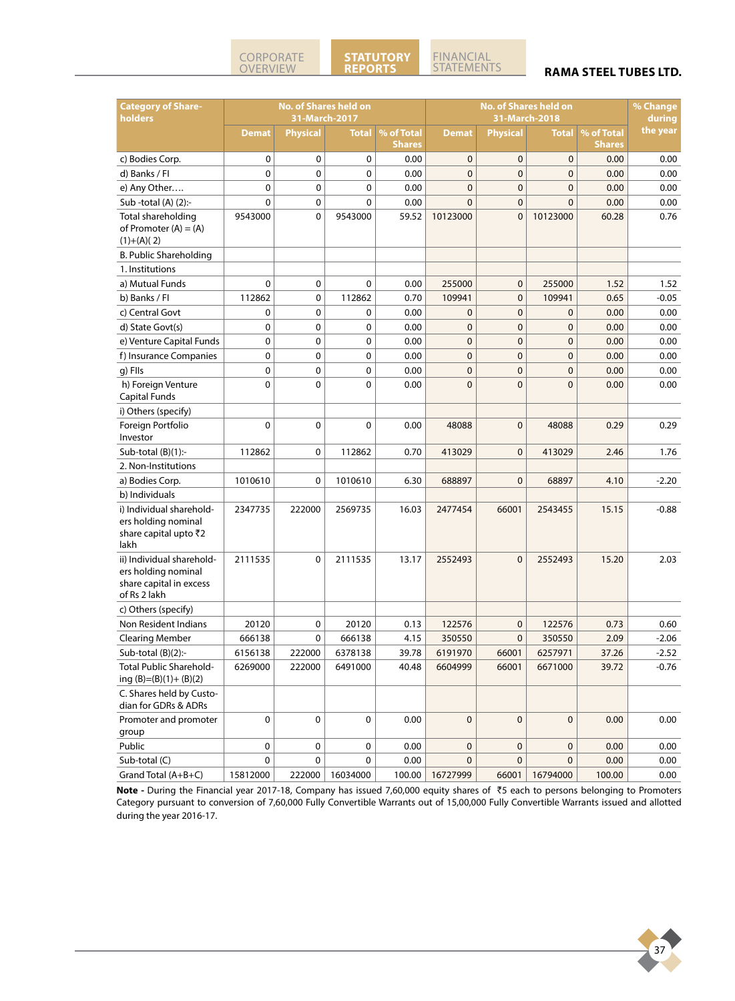# FINANCIAL<br>STATEMENTS

#### **RAMA STEEL TUBES LTD.**

| <b>Category of Share-</b><br>holders                                                        |              | 31-March-2017   | <b>No. of Shares held on</b> |               |              | <b>No. of Shares held on</b><br>31-March-2018 |              |               |          |
|---------------------------------------------------------------------------------------------|--------------|-----------------|------------------------------|---------------|--------------|-----------------------------------------------|--------------|---------------|----------|
|                                                                                             | <b>Demat</b> | <b>Physical</b> | <b>Total</b>                 | % of Total    | <b>Demat</b> | <b>Physical</b>                               | <b>Total</b> | % of Total    | the year |
|                                                                                             |              |                 |                              | <b>Shares</b> |              |                                               |              | <b>Shares</b> |          |
| c) Bodies Corp.                                                                             | 0            | $\mathbf 0$     | 0                            | 0.00          | $\mathbf 0$  | $\mathbf 0$                                   | $\mathbf 0$  | 0.00          | 0.00     |
| d) Banks / Fl                                                                               | 0            | $\mathbf 0$     | 0                            | 0.00          | $\mathbf 0$  | $\mathbf 0$                                   | $\mathbf 0$  | 0.00          | 0.00     |
| e) Any Other                                                                                | 0            | $\mathbf 0$     | 0                            | 0.00          | $\mathbf{0}$ | $\mathbf{0}$                                  | $\mathbf 0$  | 0.00          | 0.00     |
| Sub -total (A) (2):-                                                                        | 0            | 0               | 0                            | 0.00          | $\mathbf 0$  | $\mathbf 0$                                   | $\mathbf 0$  | 0.00          | 0.00     |
| Total shareholding<br>of Promoter $(A) = (A)$<br>$(1)+(A)(2)$                               | 9543000      | $\mathbf 0$     | 9543000                      | 59.52         | 10123000     | $\mathbf 0$                                   | 10123000     | 60.28         | 0.76     |
| B. Public Shareholding                                                                      |              |                 |                              |               |              |                                               |              |               |          |
| 1. Institutions                                                                             |              |                 |                              |               |              |                                               |              |               |          |
| a) Mutual Funds                                                                             | 0            | $\mathbf 0$     | 0                            | 0.00          | 255000       | $\mathbf 0$                                   | 255000       | 1.52          | 1.52     |
| b) Banks / Fl                                                                               | 112862       | $\mathbf 0$     | 112862                       | 0.70          | 109941       | 0                                             | 109941       | 0.65          | $-0.05$  |
| c) Central Govt                                                                             | 0            | $\mathbf 0$     | 0                            | 0.00          | $\mathbf 0$  | $\mathbf 0$                                   | 0            | 0.00          | 0.00     |
| d) State Govt(s)                                                                            | 0            | 0               | 0                            | 0.00          | $\mathbf 0$  | $\mathbf 0$                                   | 0            | 0.00          | 0.00     |
| e) Venture Capital Funds                                                                    | 0            | $\mathbf 0$     | 0                            | 0.00          | $\mathbf{0}$ | $\mathbf 0$                                   | 0            | 0.00          | 0.00     |
| f) Insurance Companies                                                                      | 0            | $\mathbf 0$     | 0                            | 0.00          | $\mathbf{0}$ | $\mathbf 0$                                   | 0            | 0.00          | 0.00     |
| g) Flls                                                                                     | 0            | $\mathbf 0$     | 0                            | 0.00          | $\mathbf 0$  | $\mathbf 0$                                   | $\mathbf 0$  | 0.00          | 0.00     |
| h) Foreign Venture<br>Capital Funds                                                         | 0            | $\mathbf 0$     | 0                            | 0.00          | $\mathbf 0$  | $\mathbf{0}$                                  | $\mathbf 0$  | 0.00          | 0.00     |
| i) Others (specify)                                                                         |              |                 |                              |               |              |                                               |              |               |          |
| Foreign Portfolio<br>Investor                                                               | 0            | $\mathbf 0$     | 0                            | 0.00          | 48088        | $\mathbf{0}$                                  | 48088        | 0.29          | 0.29     |
| Sub-total $(B)(1)$ :-                                                                       | 112862       | $\mathbf 0$     | 112862                       | 0.70          | 413029       | $\mathbf 0$                                   | 413029       | 2.46          | 1.76     |
| 2. Non-Institutions                                                                         |              |                 |                              |               |              |                                               |              |               |          |
| a) Bodies Corp.                                                                             | 1010610      | $\mathbf 0$     | 1010610                      | 6.30          | 688897       | $\mathbf 0$                                   | 68897        | 4.10          | $-2.20$  |
| b) Individuals                                                                              |              |                 |                              |               |              |                                               |              |               |          |
| i) Individual sharehold-<br>ers holding nominal<br>share capital upto ₹2<br>lakh            | 2347735      | 222000          | 2569735                      | 16.03         | 2477454      | 66001                                         | 2543455      | 15.15         | $-0.88$  |
| ii) Individual sharehold-<br>ers holding nominal<br>share capital in excess<br>of Rs 2 lakh | 2111535      | $\mathbf 0$     | 2111535                      | 13.17         | 2552493      | $\mathbf 0$                                   | 2552493      | 15.20         | 2.03     |
| c) Others (specify)                                                                         |              |                 |                              |               |              |                                               |              |               |          |
| Non Resident Indians                                                                        | 20120        | $\mathbf 0$     | 20120                        | 0.13          | 122576       | $\mathbf 0$                                   | 122576       | 0.73          | 0.60     |
| <b>Clearing Member</b>                                                                      | 666138       | 0               | 666138                       | 4.15          | 350550       | $\mathbf 0$                                   | 350550       | 2.09          | $-2.06$  |
| Sub-total (B)(2):-                                                                          | 6156138      | 222000          | 6378138                      | 39.78         | 6191970      | 66001                                         | 6257971      | 37.26         | $-2.52$  |
| <b>Total Public Sharehold-</b><br>ing $(B)=(B)(1)+(B)(2)$                                   | 6269000      | 222000          | 6491000                      | 40.48         | 6604999      | 66001                                         | 6671000      | 39.72         | $-0.76$  |
| C. Shares held by Custo-<br>dian for GDRs & ADRs                                            |              |                 |                              |               |              |                                               |              |               |          |
| Promoter and promoter                                                                       | 0            | 0               | 0                            | 0.00          | $\mathbf 0$  | 0                                             | 0            | 0.00          | 0.00     |
| group                                                                                       |              |                 |                              |               |              |                                               |              |               |          |
| Public                                                                                      | 0            | 0               | 0                            | 0.00          | $\pmb{0}$    | 0                                             | 0            | 0.00          | 0.00     |
| Sub-total (C)                                                                               | 0            | 0               | 0                            | 0.00          | $\mathbf 0$  | $\mathbf{0}$                                  | 0            | 0.00          | 0.00     |
| Grand Total (A+B+C)                                                                         | 15812000     | 222000          | 16034000                     | 100.00        | 16727999     | 66001                                         | 16794000     | 100.00        | 0.00     |

**Note -** During the Financial year 2017-18, Company has issued 7,60,000 equity shares of `5 each to persons belonging to Promoters Category pursuant to conversion of 7,60,000 Fully Convertible Warrants out of 15,00,000 Fully Convertible Warrants issued and allotted during the year 2016-17.

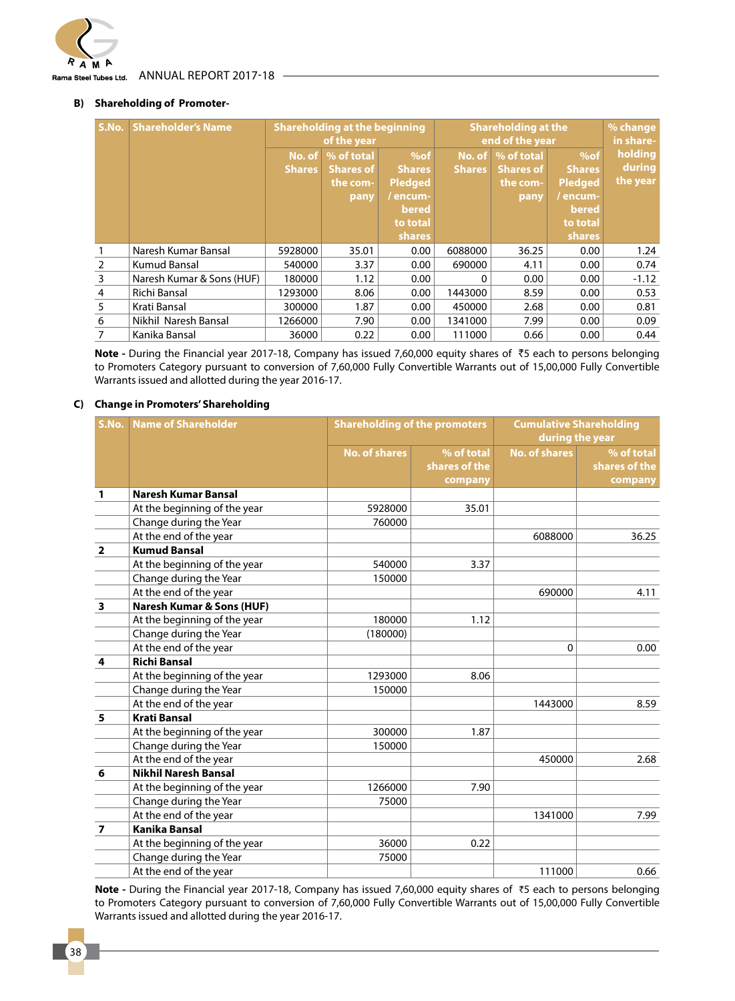

#### Annual Report 2017-18 Rama Steel Tubes Ltd.

#### **B) Shareholding of Promoter-**

| S.No.          | <b>Shareholder's Name</b> | <b>Shareholding at the beginning</b><br>of the year |                                                    |                                                                                             | <b>Shareholding at the</b><br>end of the year | % change<br>in share-                              |                                                                                             |                               |
|----------------|---------------------------|-----------------------------------------------------|----------------------------------------------------|---------------------------------------------------------------------------------------------|-----------------------------------------------|----------------------------------------------------|---------------------------------------------------------------------------------------------|-------------------------------|
|                |                           | No. of<br><b>Shares</b>                             | % of total<br><b>Shares of</b><br>the com-<br>pany | $%$ of<br><b>Shares</b><br><b>Pledged</b><br>/ encum-<br>bered<br>to total<br><b>shares</b> | No. of<br><b>Shares</b>                       | % of total<br><b>Shares of</b><br>the com-<br>pany | $%$ of<br><b>Shares</b><br><b>Pledged</b><br>/ encum-<br>bered<br>to total<br><b>shares</b> | holding<br>during<br>the year |
|                | Naresh Kumar Bansal       | 5928000                                             | 35.01                                              | 0.00                                                                                        | 6088000                                       | 36.25                                              | 0.00                                                                                        | 1.24                          |
| $\mathcal{P}$  | Kumud Bansal              | 540000                                              | 3.37                                               | 0.00                                                                                        | 690000                                        | 4.11                                               | 0.00                                                                                        | 0.74                          |
| 3              | Naresh Kumar & Sons (HUF) | 180000                                              | 1.12                                               | 0.00                                                                                        | 0                                             | 0.00                                               | 0.00                                                                                        | $-1.12$                       |
| $\overline{4}$ | Richi Bansal              | 1293000                                             | 8.06                                               | 0.00                                                                                        | 1443000                                       | 8.59                                               | 0.00                                                                                        | 0.53                          |
| 5              | Krati Bansal              | 300000                                              | 1.87                                               | 0.00                                                                                        | 450000                                        | 2.68                                               | 0.00                                                                                        | 0.81                          |
| 6              | Nikhil Naresh Bansal      | 1266000                                             | 7.90                                               | 0.00                                                                                        | 1341000                                       | 7.99                                               | 0.00                                                                                        | 0.09                          |
|                | Kanika Bansal             | 36000                                               | 0.22                                               | 0.00                                                                                        | 111000                                        | 0.66                                               | 0.00                                                                                        | 0.44                          |

**Note -** During the Financial year 2017-18, Company has issued 7,60,000 equity shares of `5 each to persons belonging to Promoters Category pursuant to conversion of 7,60,000 Fully Convertible Warrants out of 15,00,000 Fully Convertible Warrants issued and allotted during the year 2016-17.

#### **C) Change in Promoters' Shareholding**

| S.No.                   | <b>Name of Shareholder</b>           | <b>Shareholding of the promoters</b> |               | <b>Cumulative Shareholding</b> |               |  |
|-------------------------|--------------------------------------|--------------------------------------|---------------|--------------------------------|---------------|--|
|                         |                                      |                                      |               | during the year                |               |  |
|                         |                                      | <b>No. of shares</b>                 | % of total    | <b>No. of shares</b>           | % of total    |  |
|                         |                                      |                                      | shares of the |                                | shares of the |  |
|                         |                                      |                                      | company       |                                | company       |  |
| 1                       | <b>Naresh Kumar Bansal</b>           |                                      |               |                                |               |  |
|                         | At the beginning of the year         | 5928000                              | 35.01         |                                |               |  |
|                         | Change during the Year               | 760000                               |               |                                |               |  |
|                         | At the end of the year               |                                      |               | 6088000                        | 36.25         |  |
| $\overline{\mathbf{2}}$ | <b>Kumud Bansal</b>                  |                                      |               |                                |               |  |
|                         | At the beginning of the year         | 540000                               | 3.37          |                                |               |  |
|                         | Change during the Year               | 150000                               |               |                                |               |  |
|                         | At the end of the year               |                                      |               | 690000                         | 4.11          |  |
| 3                       | <b>Naresh Kumar &amp; Sons (HUF)</b> |                                      |               |                                |               |  |
|                         | At the beginning of the year         | 180000                               | 1.12          |                                |               |  |
|                         | Change during the Year               | (180000)                             |               |                                |               |  |
|                         | At the end of the year               |                                      |               | $\mathbf 0$                    | 0.00          |  |
| 4                       | <b>Richi Bansal</b>                  |                                      |               |                                |               |  |
|                         | At the beginning of the year         | 1293000                              | 8.06          |                                |               |  |
|                         | Change during the Year               | 150000                               |               |                                |               |  |
|                         | At the end of the year               |                                      |               | 1443000                        | 8.59          |  |
| 5                       | <b>Krati Bansal</b>                  |                                      |               |                                |               |  |
|                         | At the beginning of the year         | 300000                               | 1.87          |                                |               |  |
|                         | Change during the Year               | 150000                               |               |                                |               |  |
|                         | At the end of the year               |                                      |               | 450000                         | 2.68          |  |
| 6                       | <b>Nikhil Naresh Bansal</b>          |                                      |               |                                |               |  |
|                         | At the beginning of the year         | 1266000                              | 7.90          |                                |               |  |
|                         | Change during the Year               | 75000                                |               |                                |               |  |
|                         | At the end of the year               |                                      |               | 1341000                        | 7.99          |  |
| $\overline{7}$          | <b>Kanika Bansal</b>                 |                                      |               |                                |               |  |
|                         | At the beginning of the year         | 36000                                | 0.22          |                                |               |  |
|                         | Change during the Year               | 75000                                |               |                                |               |  |
|                         | At the end of the year               |                                      |               | 111000                         | 0.66          |  |

**Note -** During the Financial year 2017-18, Company has issued 7,60,000 equity shares of `5 each to persons belonging to Promoters Category pursuant to conversion of 7,60,000 Fully Convertible Warrants out of 15,00,000 Fully Convertible Warrants issued and allotted during the year 2016-17.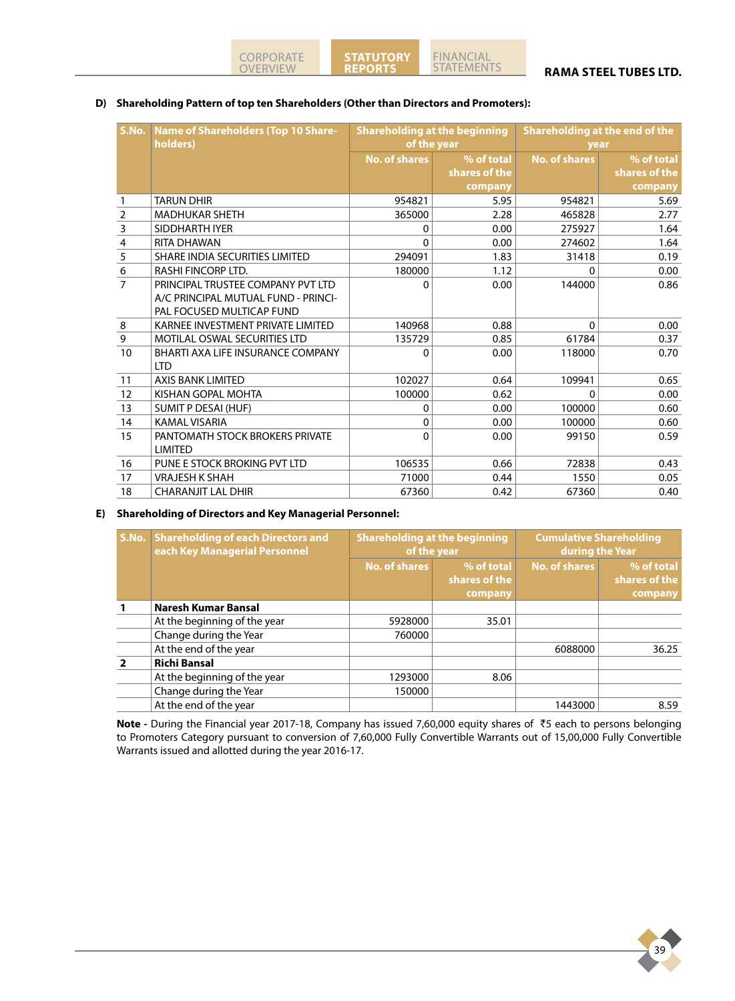

#### **RAMA STEEL TUBES LTD.**

#### **D) Shareholding Pattern of top ten Shareholders (Other than Directors and Promoters):**

**Reports**

|                         | S.No. Name of Shareholders (Top 10 Share-<br>holders) | <b>Shareholding at the beginning</b><br>of the year |                             | Shareholding at the end of the<br>year |                             |
|-------------------------|-------------------------------------------------------|-----------------------------------------------------|-----------------------------|----------------------------------------|-----------------------------|
|                         |                                                       | <b>No. of shares</b>                                | % of total<br>shares of the | <b>No. of shares</b>                   | % of total<br>shares of the |
|                         |                                                       |                                                     | company                     |                                        | company                     |
| 1                       | <b>TARUN DHIR</b>                                     | 954821                                              | 5.95                        | 954821                                 | 5.69                        |
| $\overline{2}$          | <b>MADHUKAR SHETH</b>                                 | 365000                                              | 2.28                        | 465828                                 | 2.77                        |
| $\overline{\mathbf{3}}$ | SIDDHARTH IYER                                        | 0                                                   | 0.00                        | 275927                                 | 1.64                        |
| $\overline{4}$          | RITA DHAWAN                                           | 0                                                   | 0.00                        | 274602                                 | 1.64                        |
| 5                       | SHARE INDIA SECURITIES LIMITED                        | 294091                                              | 1.83                        | 31418                                  | 0.19                        |
| $\frac{6}{7}$           | RASHI FINCORP LTD.                                    | 180000                                              | 1.12                        | 0                                      | 0.00                        |
|                         | PRINCIPAL TRUSTEE COMPANY PVT LTD                     | 0                                                   | 0.00                        | 144000                                 | 0.86                        |
|                         | A/C PRINCIPAL MUTUAL FUND - PRINCI-                   |                                                     |                             |                                        |                             |
|                         | PAL FOCUSED MULTICAP FUND                             |                                                     |                             |                                        |                             |
| $\,8\,$                 | KARNEE INVESTMENT PRIVATE LIMITED                     | 140968                                              | 0.88                        | $\Omega$                               | 0.00                        |
| $\mathsf 9$             | <b>MOTILAL OSWAL SECURITIES LTD</b>                   | 135729                                              | 0.85                        | 61784                                  | 0.37                        |
| 10                      | BHARTI AXA LIFE INSURANCE COMPANY                     | 0                                                   | 0.00                        | 118000                                 | 0.70                        |
|                         | <b>LTD</b>                                            |                                                     |                             |                                        |                             |
| 11                      | <b>AXIS BANK LIMITED</b>                              | 102027                                              | 0.64                        | 109941                                 | 0.65                        |
| 12                      | KISHAN GOPAL MOHTA                                    | 100000                                              | 0.62                        | 0                                      | 0.00                        |
| 13                      | <b>SUMIT P DESAI (HUF)</b>                            | 0                                                   | 0.00                        | 100000                                 | 0.60                        |
| 14                      | <b>KAMAL VISARIA</b>                                  | 0                                                   | 0.00                        | 100000                                 | 0.60                        |
| 15                      | PANTOMATH STOCK BROKERS PRIVATE                       | 0                                                   | 0.00                        | 99150                                  | 0.59                        |
|                         | <b>LIMITED</b>                                        |                                                     |                             |                                        |                             |
| 16                      | PUNE E STOCK BROKING PVT LTD                          | 106535                                              | 0.66                        | 72838                                  | 0.43                        |
| 17                      | <b>VRAJESH K SHAH</b>                                 | 71000                                               | 0.44                        | 1550                                   | 0.05                        |
| 18                      | <b>CHARANJIT LAL DHIR</b>                             | 67360                                               | 0.42                        | 67360                                  | 0.40                        |

#### **E) Shareholding of Directors and Key Managerial Personnel:**

| S.No. | <b>Shareholding of each Directors and</b><br>each Key Managerial Personnel | <b>Shareholding at the beginning</b><br>of the year |                                        | <b>Cumulative Shareholding</b><br>during the Year |                                        |  |
|-------|----------------------------------------------------------------------------|-----------------------------------------------------|----------------------------------------|---------------------------------------------------|----------------------------------------|--|
|       |                                                                            | No. of shares                                       | % of total<br>shares of the<br>company | No. of shares                                     | % of total<br>shares of the<br>company |  |
|       | <b>Naresh Kumar Bansal</b>                                                 |                                                     |                                        |                                                   |                                        |  |
|       | At the beginning of the year                                               | 5928000                                             | 35.01                                  |                                                   |                                        |  |
|       | Change during the Year                                                     | 760000                                              |                                        |                                                   |                                        |  |
|       | At the end of the year                                                     |                                                     |                                        | 6088000                                           | 36.25                                  |  |
|       | <b>Richi Bansal</b>                                                        |                                                     |                                        |                                                   |                                        |  |
|       | At the beginning of the year                                               | 1293000                                             | 8.06                                   |                                                   |                                        |  |
|       | Change during the Year                                                     | 150000                                              |                                        |                                                   |                                        |  |
|       | At the end of the year                                                     |                                                     |                                        | 1443000                                           | 8.59                                   |  |

**Note -** During the Financial year 2017-18, Company has issued 7,60,000 equity shares of `5 each to persons belonging to Promoters Category pursuant to conversion of 7,60,000 Fully Convertible Warrants out of 15,00,000 Fully Convertible Warrants issued and allotted during the year 2016-17.

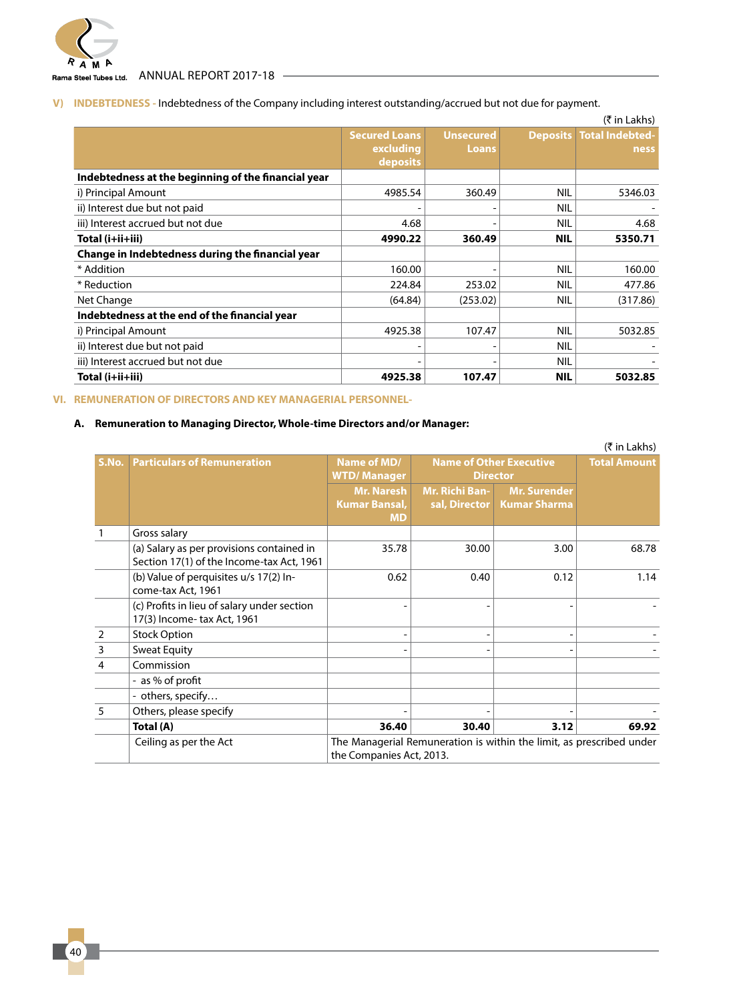

Rama Steel Tubes Ltd. ANNUAL REPORT 2017-18

# **V) INDEBTEDNESS -** Indebtedness of the Company including interest outstanding/accrued but not due for payment.

|                                                     |                      |                  |                 | $(5 \in \mathsf{Lakhs})$ |
|-----------------------------------------------------|----------------------|------------------|-----------------|--------------------------|
|                                                     | <b>Secured Loans</b> | <b>Unsecured</b> | <b>Deposits</b> | <b>Total Indebted-</b>   |
|                                                     | excluding            | Loans            |                 | ness                     |
|                                                     | deposits             |                  |                 |                          |
| Indebtedness at the beginning of the financial year |                      |                  |                 |                          |
| i) Principal Amount                                 | 4985.54              | 360.49           | <b>NIL</b>      | 5346.03                  |
| ii) Interest due but not paid                       |                      |                  | <b>NIL</b>      |                          |
| iii) Interest accrued but not due                   | 4.68                 |                  | <b>NIL</b>      | 4.68                     |
| Total (i+ii+iii)                                    | 4990.22              | 360.49           | <b>NIL</b>      | 5350.71                  |
| Change in Indebtedness during the financial year    |                      |                  |                 |                          |
| * Addition                                          | 160.00               |                  | <b>NIL</b>      | 160.00                   |
| * Reduction                                         | 224.84               | 253.02           | <b>NIL</b>      | 477.86                   |
| Net Change                                          | (64.84)              | (253.02)         | <b>NIL</b>      | (317.86)                 |
| Indebtedness at the end of the financial year       |                      |                  |                 |                          |
| i) Principal Amount                                 | 4925.38              | 107.47           | <b>NIL</b>      | 5032.85                  |
| ii) Interest due but not paid                       |                      |                  | <b>NIL</b>      |                          |
| iii) Interest accrued but not due                   |                      |                  | NIL             |                          |
| Total (i+ii+iii)                                    | 4925.38              | 107.47           | <b>NIL</b>      | 5032.85                  |

### **VI. REMUNERATION OF DIRECTORS AND KEY MANAGERIAL PERSONNEL-**

### **A. Remuneration to Managing Director, Whole-time Directors and/or Manager:**

|                |                                                                                        |                                                        |                                        |                                                                      | (₹ in Lakhs) |
|----------------|----------------------------------------------------------------------------------------|--------------------------------------------------------|----------------------------------------|----------------------------------------------------------------------|--------------|
| S.No.          | <b>Particulars of Remuneration</b>                                                     | Name of MD/<br><b>WTD/Manager</b>                      |                                        | <b>Name of Other Executive</b><br><b>Director</b>                    |              |
|                |                                                                                        | <b>Mr. Naresh</b><br><b>Kumar Bansal,</b><br><b>MD</b> | <b>Mr. Richi Ban-</b><br>sal, Director | <b>Mr. Surender</b><br><b>Kumar Sharma</b>                           |              |
|                | Gross salary                                                                           |                                                        |                                        |                                                                      |              |
|                | (a) Salary as per provisions contained in<br>Section 17(1) of the Income-tax Act, 1961 | 35.78                                                  | 30.00                                  | 3.00                                                                 | 68.78        |
|                | (b) Value of perquisites u/s 17(2) In-<br>come-tax Act, 1961                           | 0.62                                                   | 0.40                                   | 0.12                                                                 | 1.14         |
|                | (c) Profits in lieu of salary under section<br>17(3) Income-tax Act, 1961              |                                                        |                                        |                                                                      |              |
| $\overline{2}$ | <b>Stock Option</b>                                                                    |                                                        |                                        |                                                                      |              |
| $\mathsf 3$    | <b>Sweat Equity</b>                                                                    |                                                        |                                        |                                                                      |              |
| $\overline{4}$ | Commission                                                                             |                                                        |                                        |                                                                      |              |
|                | - as % of profit                                                                       |                                                        |                                        |                                                                      |              |
|                | - others, specify                                                                      |                                                        |                                        |                                                                      |              |
| 5              | Others, please specify                                                                 |                                                        |                                        |                                                                      |              |
|                | Total (A)                                                                              | 36.40                                                  | 30.40                                  | 3.12                                                                 | 69.92        |
|                | Ceiling as per the Act                                                                 | the Companies Act, 2013.                               |                                        | The Managerial Remuneration is within the limit, as prescribed under |              |